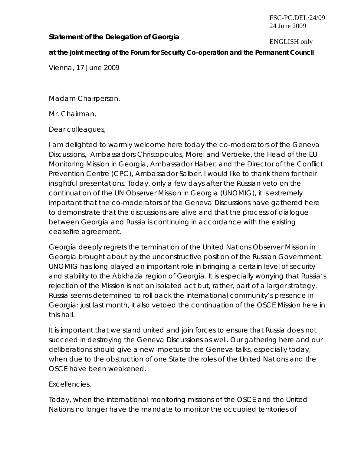#### FSC-PC.DEL/24/09 24 June 2009

# **Statement of the Delegation of Georgia ENGLISH only**

#### **at the joint meeting of the Forum for Security Co-operation and the Permanent Council**

Vienna, 17 June 2009

Madam Chairperson,

Mr. Chairman,

Dear colleagues,

I am delighted to warmly welcome here today the co-moderators of the Geneva Discussions, Ambassadors Christopoulos, Morel and Verbeke, the Head of the EU Monitoring Mission in Georgia, Ambassador Haber, and the Director of the Conflict Prevention Centre (CPC), Ambassador Salber. I would like to thank them for their insightful presentations. Today, only a few days after the Russian veto on the continuation of the UN Observer Mission in Georgia (UNOMIG), it is extremely important that the co-moderators of the Geneva Discussions have gathered here to demonstrate that the discussions are alive and that the process of dialogue between Georgia and Russia is continuing in accordance with the existing ceasefire agreement.

Georgia deeply regrets the termination of the United Nations Observer Mission in Georgia brought about by the unconstructive position of the Russian Government. UNOMIG has long played an important role in bringing a certain level of security and stability to the Abkhazia region of Georgia. It is especially worrying that Russia's rejection of the Mission is not an isolated act but, rather, part of a larger strategy. Russia seems determined to roll back the international community's presence in Georgia: just last month, it also vetoed the continuation of the OSCE Mission here in this hall.

It is important that we stand united and join forces to ensure that Russia does not succeed in destroying the Geneva Discussions as well. Our gathering here and our deliberations should give a new impetus to the Geneva talks, especially today, when due to the obstruction of one State the roles of the United Nations and the OSCE have been weakened.

#### Excellencies,

Today, when the international monitoring missions of the OSCE and the United Nations no longer have the mandate to monitor the occupied territories of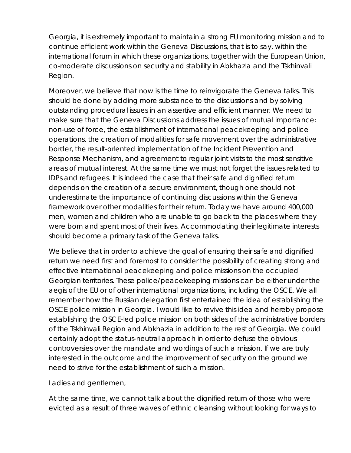Georgia, it is extremely important to maintain a strong EU monitoring mission and to continue efficient work within the Geneva Discussions, that is to say, within the international forum in which these organizations, together with the European Union, co-moderate discussions on security and stability in Abkhazia and the Tskhinvali Region.

Moreover, we believe that now is the time to reinvigorate the Geneva talks. This should be done by adding more substance to the discussions and by solving outstanding procedural issues in an assertive and efficient manner. We need to make sure that the Geneva Discussions address the issues of mutual importance: non-use of force, the establishment of international peacekeeping and police operations, the creation of modalities for safe movement over the administrative border, the result-oriented implementation of the Incident Prevention and Response Mechanism, and agreement to regular joint visits to the most sensitive areas of mutual interest. At the same time we must not forget the issues related to IDPs and refugees. It is indeed the case that their safe and dignified return depends on the creation of a secure environment, though one should not underestimate the importance of continuing discussions within the Geneva framework over other modalities for their return. Today we have around 400,000 men, women and children who are unable to go back to the places where they were born and spent most of their lives. Accommodating their legitimate interests should become a primary task of the Geneva talks.

We believe that in order to achieve the goal of ensuring their safe and dignified return we need first and foremost to consider the possibility of creating strong and effective international peacekeeping and police missions on the occupied Georgian territories. These police/peacekeeping missions can be either under the aegis of the EU or of other international organizations, including the OSCE. We all remember how the Russian delegation first entertained the idea of establishing the OSCE police mission in Georgia. I would like to revive this idea and hereby propose establishing the OSCE-led police mission on both sides of the administrative borders of the Tskhinvali Region and Abkhazia in addition to the rest of Georgia. We could certainly adopt the status-neutral approach in order to defuse the obvious controversies over the mandate and wordings of such a mission. If we are truly interested in the outcome and the improvement of security on the ground we need to strive for the establishment of such a mission.

Ladies and gentlemen,

At the same time, we cannot talk about the dignified return of those who were evicted as a result of three waves of ethnic cleansing without looking for ways to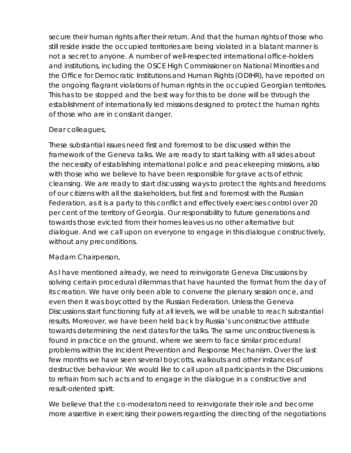secure their human rights after their return. And that the human rights of those who still reside inside the occupied territories are being violated in a blatant manner is not a secret to anyone. A number of well-respected international office-holders and institutions, including the OSCE High Commissioner on National Minorities and the Office for Democratic Institutions and Human Rights (ODIHR), have reported on the ongoing flagrant violations of human rights in the occupied Georgian territories. This has to be stopped and the best way for this to be done will be through the establishment of internationally led missions designed to protect the human rights of those who are in constant danger.

## Dear colleagues,

These substantial issues need first and foremost to be discussed within the framework of the Geneva talks. We are ready to start talking with all sides about the necessity of establishing international police and peacekeeping missions, also with those who we believe to have been responsible for grave acts of ethnic cleansing. We are ready to start discussing ways to protect the rights and freedoms of our citizens with all the stakeholders, but first and foremost with the Russian Federation, as it is a party to this conflict and effectively exercises control over 20 per cent of the territory of Georgia. Our responsibility to future generations and towards those evicted from their homes leaves us no other alternative but dialogue. And we call upon on everyone to engage in this dialogue constructively, without any preconditions.

# Madam Chairperson,

As I have mentioned already, we need to reinvigorate Geneva Discussions by solving certain procedural dilemmas that have haunted the format from the day of its creation. We have only been able to convene the plenary session once, and even then it was boycotted by the Russian Federation. Unless the Geneva Discussions start functioning fully at all levels, we will be unable to reach substantial results. Moreover, we have been held back by Russia's unconstructive attitude towards determining the next dates for the talks. The same unconstructiveness is found in practice on the ground, where we seem to face similar procedural problems within the Incident Prevention and Response Mechanism. Over the last few months we have seen several boycotts, walkouts and other instances of destructive behaviour. We would like to call upon all participants in the Discussions to refrain from such acts and to engage in the dialogue in a constructive and result-oriented spirit.

We believe that the co-moderators need to reinvigorate their role and become more assertive in exercising their powers regarding the directing of the negotiations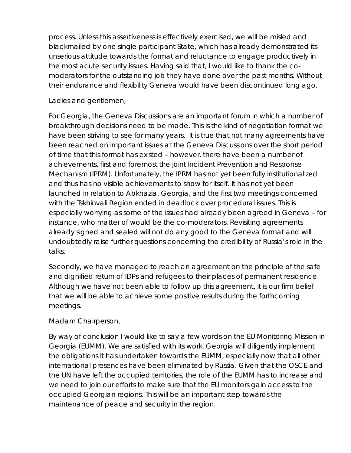process. Unless this assertiveness is effectively exercised, we will be misled and blackmailed by one single participant State, which has already demonstrated its unserious attitude towards the format and reluctance to engage productively in the most acute security issues. Having said that, I would like to thank the comoderators for the outstanding job they have done over the past months. Without their endurance and flexibility Geneva would have been discontinued long ago.

## Ladies and gentlemen,

For Georgia, the Geneva Discussions are an important forum in which a number of breakthrough decisions need to be made. This is the kind of negotiation format we have been striving to see for many years. It is true that not many agreements have been reached on important issues at the Geneva Discussions over the short period of time that this format has existed – however, there have been a number of achievements, first and foremost the joint Incident Prevention and Response Mechanism (IPRM). Unfortunately, the IPRM has not yet been fully institutionalized and thus has no visible achievements to show for itself. It has not yet been launched in relation to Abkhazia, Georgia, and the first two meetings concerned with the Tskhinvali Region ended in deadlock over procedural issues. This is especially worrying as some of the issues had already been agreed in Geneva – for instance, who matter of would be the co-moderators. Revisiting agreements already signed and sealed will not do any good to the Geneva format and will undoubtedly raise further questions concerning the credibility of Russia's role in the talks.

Secondly, we have managed to reach an agreement on the principle of the safe and dignified return of IDPs and refugees to their places of permanent residence. Although we have not been able to follow up this agreement, it is our firm belief that we will be able to achieve some positive results during the forthcoming meetings.

#### Madam Chairperson,

By way of conclusion I would like to say a few words on the EU Monitoring Mission in Georgia (EUMM). We are satisfied with its work. Georgia will diligently implement the obligations it has undertaken towards the EUMM, especially now that all other international presences have been eliminated by Russia. Given that the OSCE and the UN have left the occupied territories, the role of the EUMM has to increase and we need to join our efforts to make sure that the EU monitors gain access to the occupied Georgian regions. This will be an important step towards the maintenance of peace and security in the region.